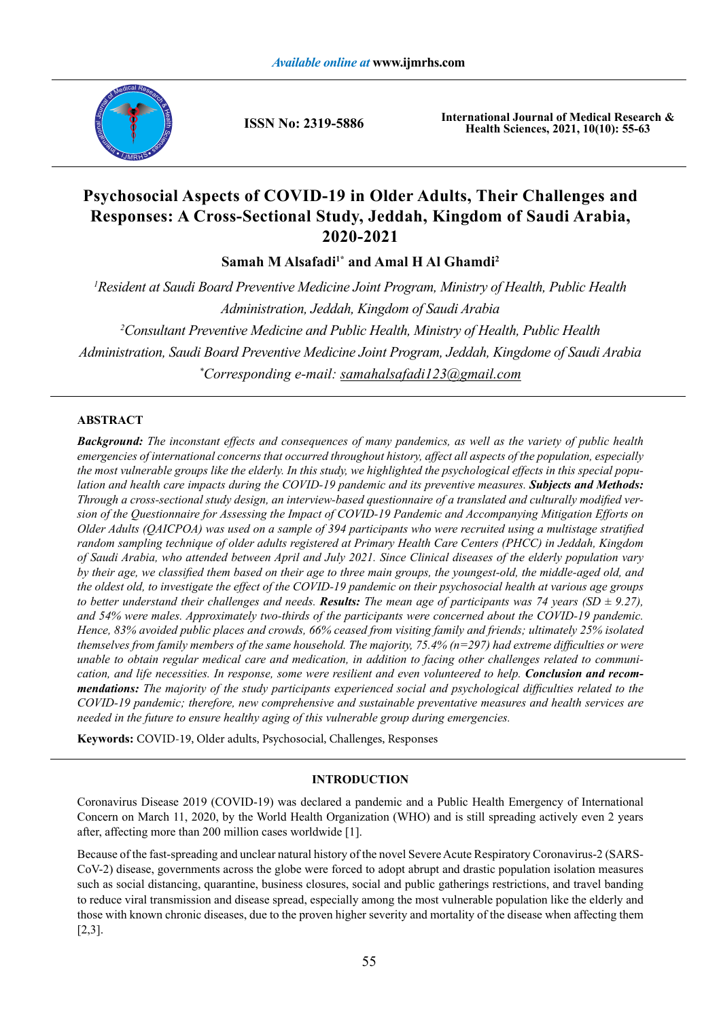

**ISSN No: 2319-5886**

**International Journal of Medical Research & Health Sciences, 2021, 10(10): 55-63**

# **Psychosocial Aspects of COVID-19 in Older Adults, Their Challenges and Responses: A Cross-Sectional Study, Jeddah, Kingdom of Saudi Arabia, 2020-2021**

Samah M Alsafadi<sup>1\*</sup> and Amal H Al Ghamdi<sup>2</sup>

*1 Resident at Saudi Board Preventive Medicine Joint Program, Ministry of Health, Public Health Administration, Jeddah, Kingdom of Saudi Arabia 2 Consultant Preventive Medicine and Public Health, Ministry of Health, Public Health Administration, Saudi Board Preventive Medicine Joint Program, Jeddah, Kingdome of Saudi Arabia \* Corresponding e-mail: samahalsafadi123@gmail.com*

# **ABSTRACT**

*Background: The inconstant effects and consequences of many pandemics, as well as the variety of public health emergencies of international concerns that occurred throughout history, affect all aspects of the population, especially the most vulnerable groups like the elderly. In this study, we highlighted the psychological effects in this special population and health care impacts during the COVID-19 pandemic and its preventive measures. Subjects and Methods: Through a cross-sectional study design, an interview-based questionnaire of a translated and culturally modified version of the Questionnaire for Assessing the Impact of COVID-19 Pandemic and Accompanying Mitigation Efforts on Older Adults (QAICPOA) was used on a sample of 394 participants who were recruited using a multistage stratified random sampling technique of older adults registered at Primary Health Care Centers (PHCC) in Jeddah, Kingdom of Saudi Arabia, who attended between April and July 2021. Since Clinical diseases of the elderly population vary by their age, we classified them based on their age to three main groups, the youngest-old, the middle-aged old, and the oldest old, to investigate the effect of the COVID-19 pandemic on their psychosocial health at various age groups*  to better understand their challenges and needs. *Results: The mean age of participants was 74 years (SD*  $\pm$  *9.27), and 54% were males. Approximately two-thirds of the participants were concerned about the COVID-19 pandemic. Hence, 83% avoided public places and crowds, 66% ceased from visiting family and friends; ultimately 25% isolated themselves from family members of the same household. The majority, 75.4% (n=297) had extreme difficulties or were unable to obtain regular medical care and medication, in addition to facing other challenges related to communication, and life necessities. In response, some were resilient and even volunteered to help. Conclusion and recommendations: The majority of the study participants experienced social and psychological difficulties related to the COVID-19 pandemic; therefore, new comprehensive and sustainable preventative measures and health services are needed in the future to ensure healthy aging of this vulnerable group during emergencies.*

**Keywords:** COVID-19, Older adults, Psychosocial, Challenges, Responses

# **INTRODUCTION**

Coronavirus Disease 2019 (COVID-19) was declared a pandemic and a Public Health Emergency of International Concern on March 11, 2020, by the World Health Organization (WHO) and is still spreading actively even 2 years after, affecting more than 200 million cases worldwide [1].

Because of the fast-spreading and unclear natural history of the novel Severe Acute Respiratory Coronavirus-2 (SARS-CoV-2) disease, governments across the globe were forced to adopt abrupt and drastic population isolation measures such as social distancing, quarantine, business closures, social and public gatherings restrictions, and travel banding to reduce viral transmission and disease spread, especially among the most vulnerable population like the elderly and those with known chronic diseases, due to the proven higher severity and mortality of the disease when affecting them [2,3].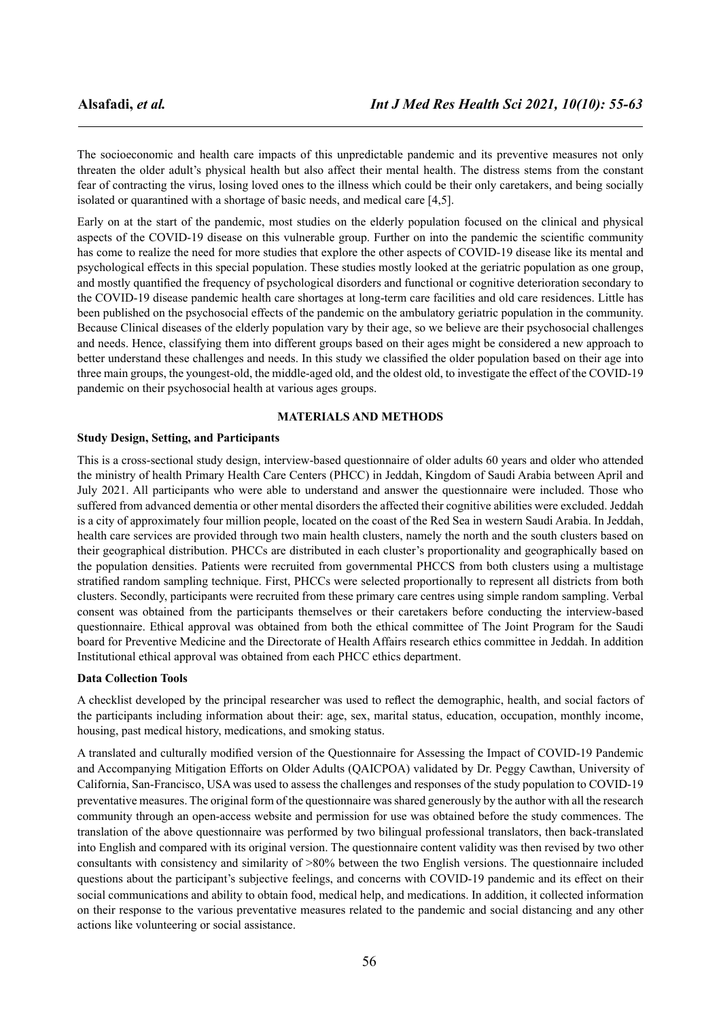The socioeconomic and health care impacts of this unpredictable pandemic and its preventive measures not only threaten the older adult's physical health but also affect their mental health. The distress stems from the constant fear of contracting the virus, losing loved ones to the illness which could be their only caretakers, and being socially isolated or quarantined with a shortage of basic needs, and medical care [4,5].

Early on at the start of the pandemic, most studies on the elderly population focused on the clinical and physical aspects of the COVID-19 disease on this vulnerable group. Further on into the pandemic the scientific community has come to realize the need for more studies that explore the other aspects of COVID-19 disease like its mental and psychological effects in this special population. These studies mostly looked at the geriatric population as one group, and mostly quantified the frequency of psychological disorders and functional or cognitive deterioration secondary to the COVID-19 disease pandemic health care shortages at long-term care facilities and old care residences. Little has been published on the psychosocial effects of the pandemic on the ambulatory geriatric population in the community. Because Clinical diseases of the elderly population vary by their age, so we believe are their psychosocial challenges and needs. Hence, classifying them into different groups based on their ages might be considered a new approach to better understand these challenges and needs. In this study we classified the older population based on their age into three main groups, the youngest-old, the middle-aged old, and the oldest old, to investigate the effect of the COVID-19 pandemic on their psychosocial health at various ages groups.

### **MATERIALS AND METHODS**

### **Study Design, Setting, and Participants**

This is a cross-sectional study design, interview-based questionnaire of older adults 60 years and older who attended the ministry of health Primary Health Care Centers (PHCC) in Jeddah, Kingdom of Saudi Arabia between April and July 2021. All participants who were able to understand and answer the questionnaire were included. Those who suffered from advanced dementia or other mental disorders the affected their cognitive abilities were excluded. Jeddah is a city of approximately four million people, located on the coast of the Red Sea in western Saudi Arabia. In Jeddah, health care services are provided through two main health clusters, namely the north and the south clusters based on their geographical distribution. PHCCs are distributed in each cluster's proportionality and geographically based on the population densities. Patients were recruited from governmental PHCCS from both clusters using a multistage stratified random sampling technique. First, PHCCs were selected proportionally to represent all districts from both clusters. Secondly, participants were recruited from these primary care centres using simple random sampling. Verbal consent was obtained from the participants themselves or their caretakers before conducting the interview-based questionnaire. Ethical approval was obtained from both the ethical committee of The Joint Program for the Saudi board for Preventive Medicine and the Directorate of Health Affairs research ethics committee in Jeddah. In addition Institutional ethical approval was obtained from each PHCC ethics department.

### **Data Collection Tools**

A checklist developed by the principal researcher was used to reflect the demographic, health, and social factors of the participants including information about their: age, sex, marital status, education, occupation, monthly income, housing, past medical history, medications, and smoking status.

A translated and culturally modified version of the Questionnaire for Assessing the Impact of COVID-19 Pandemic and Accompanying Mitigation Efforts on Older Adults (QAICPOA) validated by Dr. Peggy Cawthan, University of California, San-Francisco, USA was used to assess the challenges and responses of the study population to COVID-19 preventative measures. The original form of the questionnaire was shared generously by the author with all the research community through an open-access website and permission for use was obtained before the study commences. The translation of the above questionnaire was performed by two bilingual professional translators, then back-translated into English and compared with its original version. The questionnaire content validity was then revised by two other consultants with consistency and similarity of >80% between the two English versions. The questionnaire included questions about the participant's subjective feelings, and concerns with COVID-19 pandemic and its effect on their social communications and ability to obtain food, medical help, and medications. In addition, it collected information on their response to the various preventative measures related to the pandemic and social distancing and any other actions like volunteering or social assistance.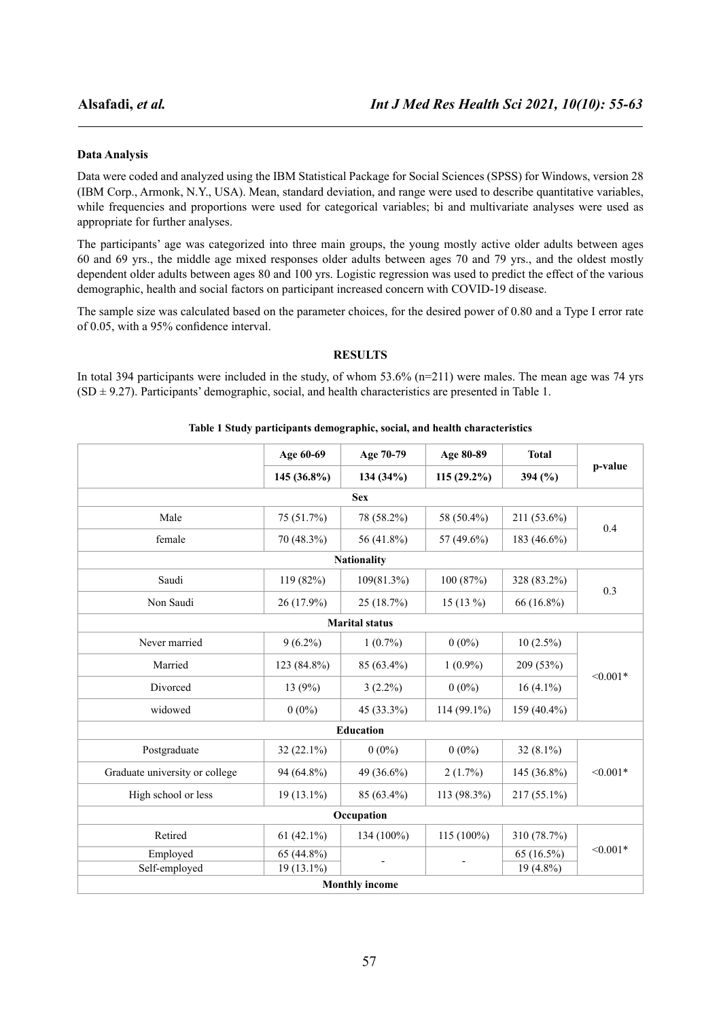### **Data Analysis**

Data were coded and analyzed using the IBM Statistical Package for Social Sciences (SPSS) for Windows, version 28 (IBM Corp., Armonk, N.Y., USA). Mean, standard deviation, and range were used to describe quantitative variables, while frequencies and proportions were used for categorical variables; bi and multivariate analyses were used as appropriate for further analyses.

The participants' age was categorized into three main groups, the young mostly active older adults between ages 60 and 69 yrs., the middle age mixed responses older adults between ages 70 and 79 yrs., and the oldest mostly dependent older adults between ages 80 and 100 yrs. Logistic regression was used to predict the effect of the various demographic, health and social factors on participant increased concern with COVID-19 disease.

The sample size was calculated based on the parameter choices, for the desired power of 0.80 and a Type I error rate of 0.05, with a 95% confidence interval.

# **RESULTS**

In total 394 participants were included in the study, of whom  $53.6\%$  (n=211) were males. The mean age was 74 yrs  $(SD \pm 9.27)$ . Participants' demographic, social, and health characteristics are presented in Table 1.

### **Table 1 Study participants demographic, social, and health characteristics**

| Age 60-69     | Age 70-79  | Age 80-89                                                              | <b>Total</b><br>394 $(\% )$ | p-value    |
|---------------|------------|------------------------------------------------------------------------|-----------------------------|------------|
| $145(36.8\%)$ | 134 (34%)  | $115(29.2\%)$                                                          |                             |            |
|               | <b>Sex</b> |                                                                        |                             |            |
| 75 (51.7%)    | 78 (58.2%) | 58 (50.4%)                                                             | 211 (53.6%)                 | 0.4        |
| 70 (48.3%)    | 56 (41.8%) | 57 (49.6%)                                                             | 183 (46.6%)                 |            |
|               |            |                                                                        |                             |            |
| 119 (82%)     | 109(81.3%) | 100(87%)                                                               | 328 (83.2%)                 | 0.3        |
| 26 (17.9%)    | 25 (18.7%) | $15(13\%)$                                                             | 66 (16.8%)                  |            |
|               |            |                                                                        |                             |            |
| $9(6.2\%)$    | $1(0.7\%)$ | $0(0\%)$                                                               | $10(2.5\%)$                 | $< 0.001*$ |
| 123 (84.8%)   | 85 (63.4%) | $1(0.9\%)$                                                             | 209 (53%)                   |            |
| 13(9%)        | $3(2.2\%)$ | $0(0\%)$                                                               | $16(4.1\%)$                 |            |
| $0(0\%)$      | 45 (33.3%) | 114 (99.1%)                                                            | 159 (40.4%)                 |            |
|               |            |                                                                        |                             |            |
| $32(22.1\%)$  | $0(0\%)$   | $0(0\%)$                                                               | $32(8.1\%)$                 | $< 0.001*$ |
| 94 (64.8%)    | 49 (36.6%) | $2(1.7\%)$                                                             | 145 (36.8%)                 |            |
| $19(13.1\%)$  | 85 (63.4%) | 113 (98.3%)                                                            | 217 (55.1%)                 |            |
|               |            |                                                                        |                             |            |
| 61 $(42.1\%)$ | 134 (100%) | $115(100\%)$                                                           | 310 (78.7%)                 | $< 0.001*$ |
| 65 (44.8%)    |            |                                                                        | 65 (16.5%)                  |            |
| 19 (13.1%)    |            |                                                                        | $19(4.8\%)$                 |            |
|               |            | <b>Nationality</b><br><b>Marital status</b><br>Education<br>Occupation | $\blacksquare$              |            |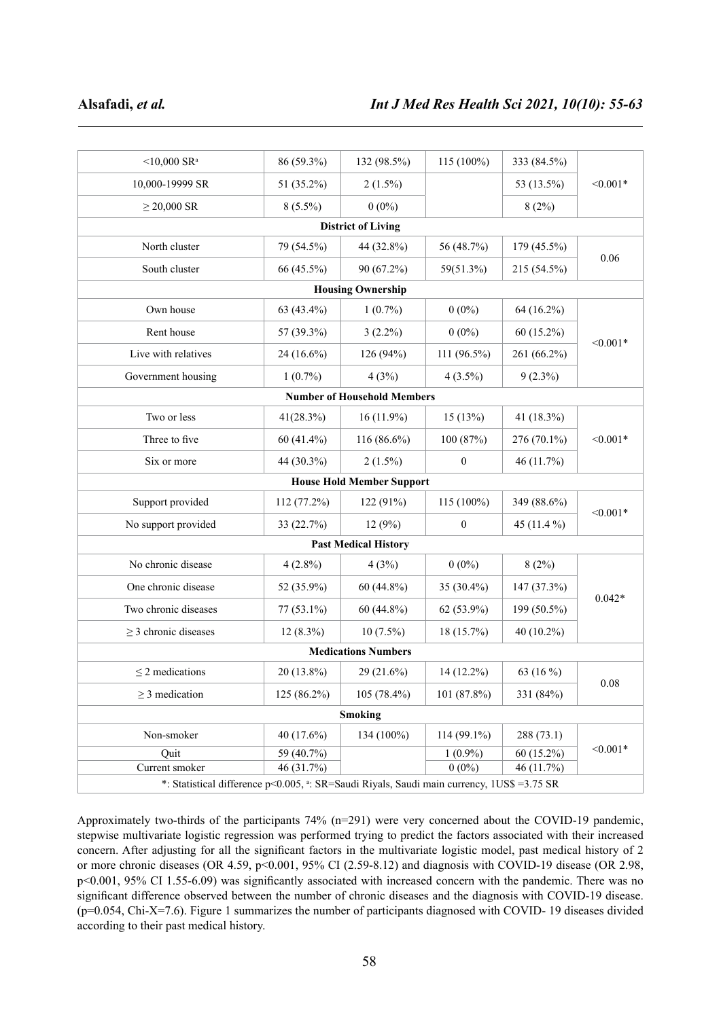| $<$ 10,000 SR <sup>a</sup>                                                                 | 86 (59.3%)   | 132 (98.5%)                      | 115 (100%)       | 333 (84.5%)  | $< 0.001*$ |  |  |  |
|--------------------------------------------------------------------------------------------|--------------|----------------------------------|------------------|--------------|------------|--|--|--|
| 10,000-19999 SR                                                                            | 51 (35.2%)   | $2(1.5\%)$                       |                  | 53 (13.5%)   |            |  |  |  |
| $\geq$ 20,000 SR                                                                           | $8(5.5\%)$   | $0(0\%)$                         |                  | 8(2%)        |            |  |  |  |
|                                                                                            |              | <b>District of Living</b>        |                  |              |            |  |  |  |
| North cluster                                                                              | 79 (54.5%)   | 44 (32.8%)                       | 56 (48.7%)       | 179 (45.5%)  | 0.06       |  |  |  |
| South cluster                                                                              | 66 (45.5%)   | 90 (67.2%)                       | 59(51.3%)        | 215 (54.5%)  |            |  |  |  |
|                                                                                            |              | <b>Housing Ownership</b>         |                  |              |            |  |  |  |
| Own house                                                                                  | 63 (43.4%)   | $1(0.7\%)$                       | $0(0\%)$         | $64(16.2\%)$ | $< 0.001*$ |  |  |  |
| Rent house                                                                                 | 57 (39.3%)   | $3(2.2\%)$                       | $0(0\%)$         | $60(15.2\%)$ |            |  |  |  |
| Live with relatives                                                                        | 24 (16.6%)   | 126 (94%)                        | 111 (96.5%)      | 261 (66.2%)  |            |  |  |  |
| Government housing                                                                         | $1(0.7\%)$   | 4(3%)                            | $4(3.5\%)$       | $9(2.3\%)$   |            |  |  |  |
| <b>Number of Household Members</b>                                                         |              |                                  |                  |              |            |  |  |  |
| Two or less                                                                                | 41(28.3%)    | $16(11.9\%)$                     | 15(13%)          | 41 (18.3%)   |            |  |  |  |
| Three to five                                                                              | $60(41.4\%)$ | $116(86.6\%)$                    | 100(87%)         | 276 (70.1%)  | $< 0.001*$ |  |  |  |
| Six or more                                                                                | 44 (30.3%)   | $2(1.5\%)$                       | $\boldsymbol{0}$ | 46 $(11.7%)$ |            |  |  |  |
|                                                                                            |              | <b>House Hold Member Support</b> |                  |              |            |  |  |  |
| Support provided                                                                           | 112 (77.2%)  | 122(91%)                         | 115 (100%)       | 349 (88.6%)  | $< 0.001*$ |  |  |  |
| No support provided                                                                        | 33 (22.7%)   | 12(9%)                           | $\boldsymbol{0}$ | 45 (11.4 %)  |            |  |  |  |
|                                                                                            |              | <b>Past Medical History</b>      |                  |              |            |  |  |  |
| No chronic disease                                                                         | $4(2.8\%)$   | 4(3%)                            | $0(0\%)$         | 8(2%)        | $0.042*$   |  |  |  |
| One chronic disease                                                                        | 52 (35.9%)   | $60(44.8\%)$                     | 35 (30.4%)       | 147 (37.3%)  |            |  |  |  |
| Two chronic diseases                                                                       | $77(53.1\%)$ | $60(44.8\%)$                     | 62 (53.9%)       | 199 (50.5%)  |            |  |  |  |
| $\geq$ 3 chronic diseases                                                                  | $12(8.3\%)$  | $10(7.5\%)$                      | 18 (15.7%)       | 40 (10.2%)   |            |  |  |  |
|                                                                                            |              | <b>Medications Numbers</b>       |                  |              |            |  |  |  |
| $\leq$ 2 medications                                                                       | 20 (13.8%)   | 29 (21.6%)                       | 14 (12.2%)       | 63 (16 %)    | 0.08       |  |  |  |
| $\geq$ 3 medication                                                                        | 125 (86.2%)  | 105 (78.4%)                      | 101 (87.8%)      | 331 (84%)    |            |  |  |  |
| Smoking                                                                                    |              |                                  |                  |              |            |  |  |  |
| Non-smoker                                                                                 | 40 (17.6%)   | 134 (100%)                       | 114 (99.1%)      | 288 (73.1)   | $< 0.001*$ |  |  |  |
| Quit                                                                                       | 59 (40.7%)   |                                  | $1(0.9\%)$       | $60(15.2\%)$ |            |  |  |  |
| Current smoker                                                                             | 46 (31.7%)   |                                  | $0(0\%)$         | 46 (11.7%)   |            |  |  |  |
| *: Statistical difference p<0.005, a: SR=Saudi Riyals, Saudi main currency, 1US\$ =3.75 SR |              |                                  |                  |              |            |  |  |  |

Approximately two-thirds of the participants 74% (n=291) were very concerned about the COVID-19 pandemic, stepwise multivariate logistic regression was performed trying to predict the factors associated with their increased concern. After adjusting for all the significant factors in the multivariate logistic model, past medical history of 2 or more chronic diseases (OR 4.59, p<0.001, 95% CI (2.59-8.12) and diagnosis with COVID-19 disease (OR 2.98, p<0.001, 95% CI 1.55-6.09) was significantly associated with increased concern with the pandemic. There was no significant difference observed between the number of chronic diseases and the diagnosis with COVID-19 disease. (p=0.054, Chi-X=7.6). Figure 1 summarizes the number of participants diagnosed with COVID- 19 diseases divided according to their past medical history.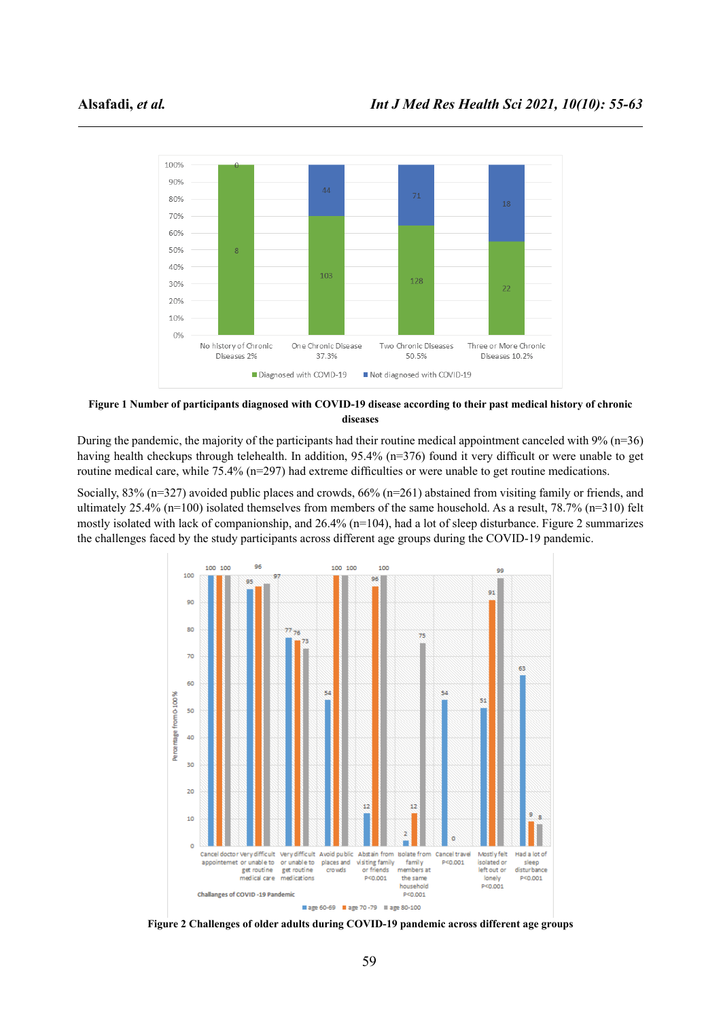

**Figure 1 Number of participants diagnosed with COVID-19 disease according to their past medical history of chronic diseases**

During the pandemic, the majority of the participants had their routine medical appointment canceled with 9% (n=36) having health checkups through telehealth. In addition, 95.4% (n=376) found it very difficult or were unable to get routine medical care, while 75.4% (n=297) had extreme difficulties or were unable to get routine medications.

Socially, 83% (n=327) avoided public places and crowds, 66% (n=261) abstained from visiting family or friends, and ultimately 25.4% (n=100) isolated themselves from members of the same household. As a result, 78.7% (n=310) felt mostly isolated with lack of companionship, and 26.4% (n=104), had a lot of sleep disturbance. Figure 2 summarizes the challenges faced by the study participants across different age groups during the COVID-19 pandemic.



**Figure 2 Challenges of older adults during COVID-19 pandemic across different age groups**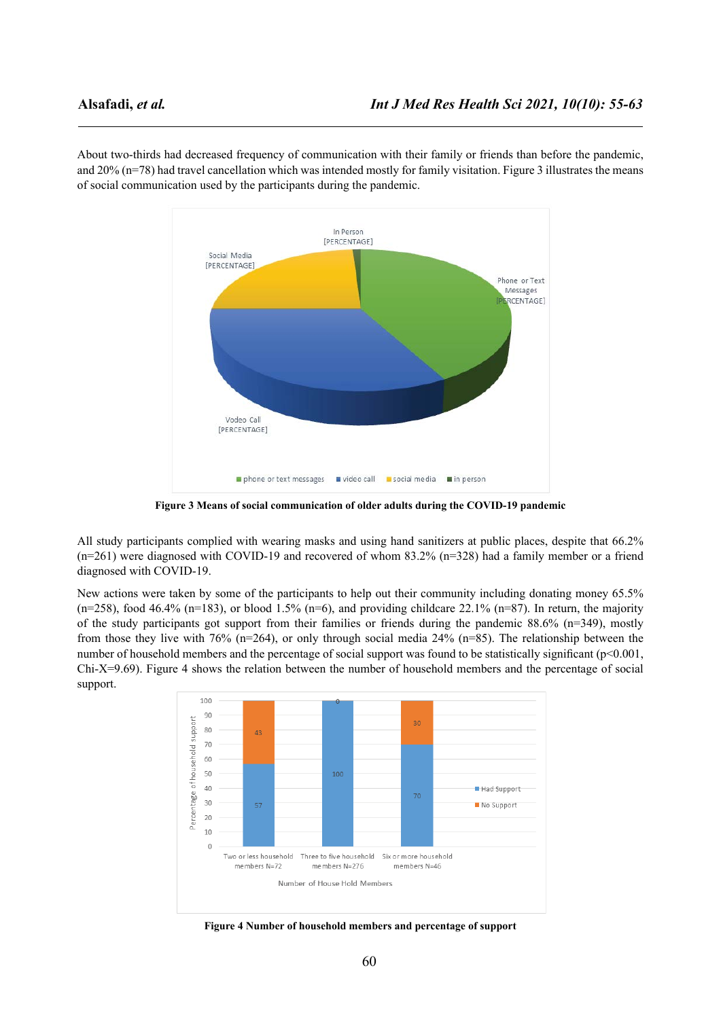About two-thirds had decreased frequency of communication with their family or friends than before the pandemic, and 20% (n=78) had travel cancellation which was intended mostly for family visitation. Figure 3 illustrates the means of social communication used by the participants during the pandemic.



**Figure 3 Means of social communication of older adults during the COVID-19 pandemic**

All study participants complied with wearing masks and using hand sanitizers at public places, despite that 66.2% (n=261) were diagnosed with COVID-19 and recovered of whom 83.2% (n=328) had a family member or a friend diagnosed with COVID-19.

New actions were taken by some of the participants to help out their community including donating money 65.5%  $(n=258)$ , food 46.4%  $(n=183)$ , or blood 1.5%  $(n=6)$ , and providing childcare 22.1%  $(n=87)$ . In return, the majority of the study participants got support from their families or friends during the pandemic 88.6% ( $n=349$ ), mostly from those they live with 76% (n=264), or only through social media 24% (n=85). The relationship between the number of household members and the percentage of social support was found to be statistically significant (p<0.001, Chi-X=9.69). Figure 4 shows the relation between the number of household members and the percentage of social support.



**Figure 4 Number of household members and percentage of support**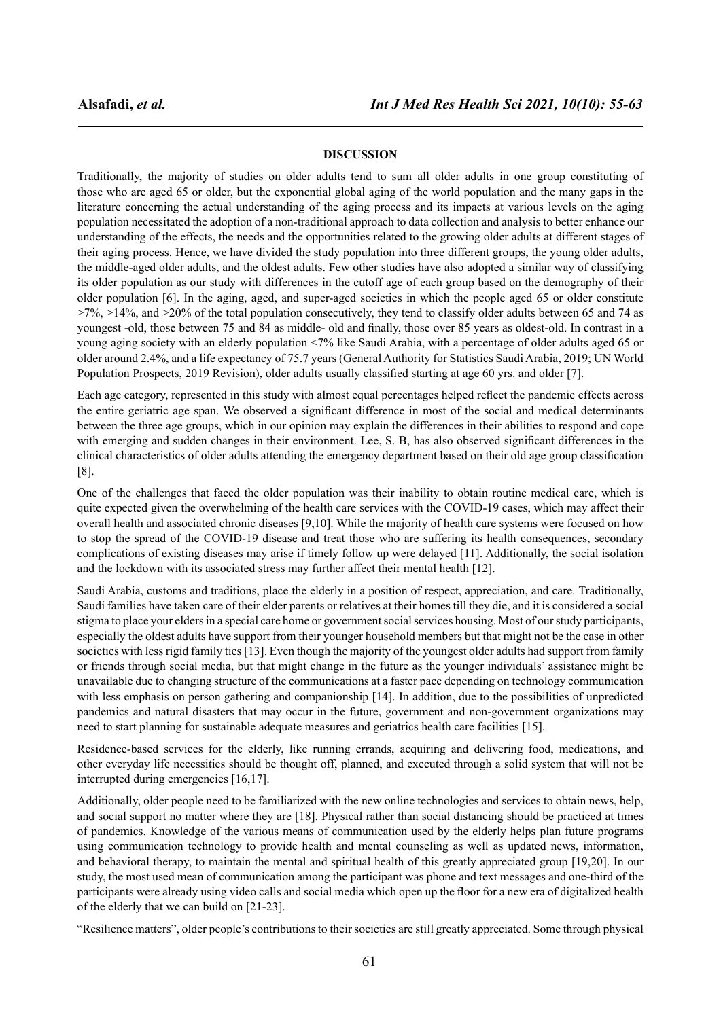### **DISCUSSION**

Traditionally, the majority of studies on older adults tend to sum all older adults in one group constituting of those who are aged 65 or older, but the exponential global aging of the world population and the many gaps in the literature concerning the actual understanding of the aging process and its impacts at various levels on the aging population necessitated the adoption of a non-traditional approach to data collection and analysis to better enhance our understanding of the effects, the needs and the opportunities related to the growing older adults at different stages of their aging process. Hence, we have divided the study population into three different groups, the young older adults, the middle-aged older adults, and the oldest adults. Few other studies have also adopted a similar way of classifying its older population as our study with differences in the cutoff age of each group based on the demography of their older population [6]. In the aging, aged, and super-aged societies in which the people aged 65 or older constitute  $>7\%$ ,  $>14\%$ , and  $>20\%$  of the total population consecutively, they tend to classify older adults between 65 and 74 as youngest -old, those between 75 and 84 as middle- old and finally, those over 85 years as oldest-old. In contrast in a young aging society with an elderly population <7% like Saudi Arabia, with a percentage of older adults aged 65 or older around 2.4%, and a life expectancy of 75.7 years (General Authority for Statistics Saudi Arabia, 2019; UN World Population Prospects, 2019 Revision), older adults usually classified starting at age 60 yrs. and older [7].

Each age category, represented in this study with almost equal percentages helped reflect the pandemic effects across the entire geriatric age span. We observed a significant difference in most of the social and medical determinants between the three age groups, which in our opinion may explain the differences in their abilities to respond and cope with emerging and sudden changes in their environment. Lee, S. B, has also observed significant differences in the clinical characteristics of older adults attending the emergency department based on their old age group classification [8].

One of the challenges that faced the older population was their inability to obtain routine medical care, which is quite expected given the overwhelming of the health care services with the COVID-19 cases, which may affect their overall health and associated chronic diseases [9,10]. While the majority of health care systems were focused on how to stop the spread of the COVID-19 disease and treat those who are suffering its health consequences, secondary complications of existing diseases may arise if timely follow up were delayed [11]. Additionally, the social isolation and the lockdown with its associated stress may further affect their mental health [12].

Saudi Arabia, customs and traditions, place the elderly in a position of respect, appreciation, and care. Traditionally, Saudi families have taken care of their elder parents or relatives at their homes till they die, and it is considered a social stigma to place your elders in a special care home or government social services housing. Most of our study participants, especially the oldest adults have support from their younger household members but that might not be the case in other societies with less rigid family ties [13]. Even though the majority of the youngest older adults had support from family or friends through social media, but that might change in the future as the younger individuals' assistance might be unavailable due to changing structure of the communications at a faster pace depending on technology communication with less emphasis on person gathering and companionship [14]. In addition, due to the possibilities of unpredicted pandemics and natural disasters that may occur in the future, government and non-government organizations may need to start planning for sustainable adequate measures and geriatrics health care facilities [15].

Residence-based services for the elderly, like running errands, acquiring and delivering food, medications, and other everyday life necessities should be thought off, planned, and executed through a solid system that will not be interrupted during emergencies [16,17].

Additionally, older people need to be familiarized with the new online technologies and services to obtain news, help, and social support no matter where they are [18]. Physical rather than social distancing should be practiced at times of pandemics. Knowledge of the various means of communication used by the elderly helps plan future programs using communication technology to provide health and mental counseling as well as updated news, information, and behavioral therapy, to maintain the mental and spiritual health of this greatly appreciated group [19,20]. In our study, the most used mean of communication among the participant was phone and text messages and one-third of the participants were already using video calls and social media which open up the floor for a new era of digitalized health of the elderly that we can build on [21-23].

"Resilience matters", older people's contributions to their societies are still greatly appreciated. Some through physical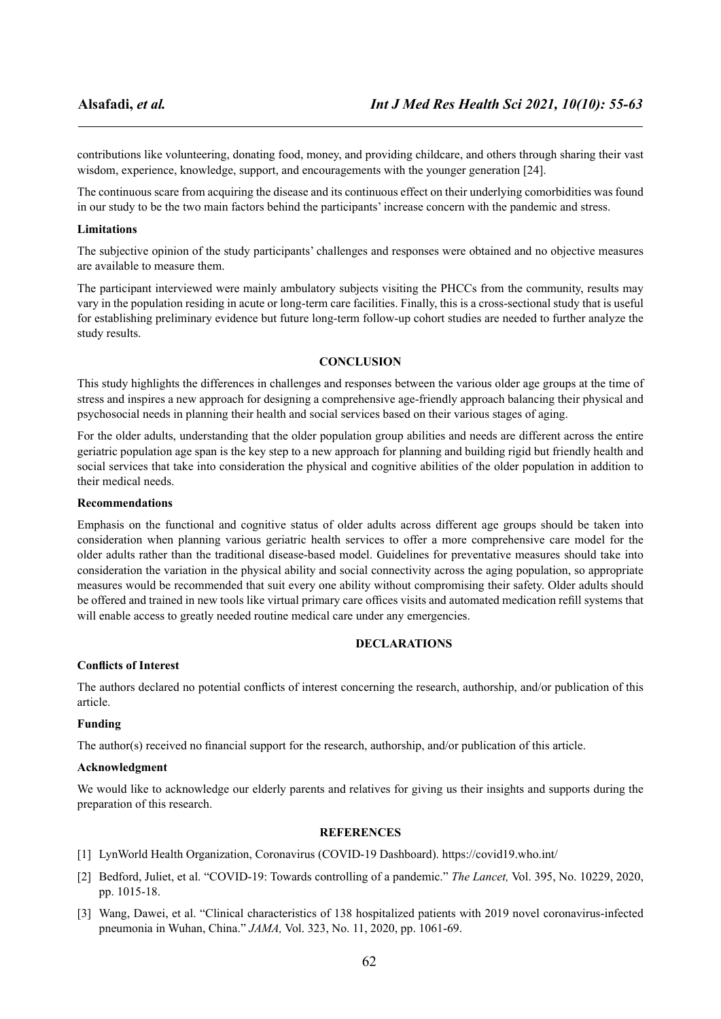contributions like volunteering, donating food, money, and providing childcare, and others through sharing their vast wisdom, experience, knowledge, support, and encouragements with the younger generation [24].

The continuous scare from acquiring the disease and its continuous effect on their underlying comorbidities was found in our study to be the two main factors behind the participants' increase concern with the pandemic and stress.

# **Limitations**

The subjective opinion of the study participants' challenges and responses were obtained and no objective measures are available to measure them.

The participant interviewed were mainly ambulatory subjects visiting the PHCCs from the community, results may vary in the population residing in acute or long-term care facilities. Finally, this is a cross-sectional study that is useful for establishing preliminary evidence but future long-term follow-up cohort studies are needed to further analyze the study results.

# **CONCLUSION**

This study highlights the differences in challenges and responses between the various older age groups at the time of stress and inspires a new approach for designing a comprehensive age-friendly approach balancing their physical and psychosocial needs in planning their health and social services based on their various stages of aging.

For the older adults, understanding that the older population group abilities and needs are different across the entire geriatric population age span is the key step to a new approach for planning and building rigid but friendly health and social services that take into consideration the physical and cognitive abilities of the older population in addition to their medical needs.

### **Recommendations**

Emphasis on the functional and cognitive status of older adults across different age groups should be taken into consideration when planning various geriatric health services to offer a more comprehensive care model for the older adults rather than the traditional disease-based model. Guidelines for preventative measures should take into consideration the variation in the physical ability and social connectivity across the aging population, so appropriate measures would be recommended that suit every one ability without compromising their safety. Older adults should be offered and trained in new tools like virtual primary care offices visits and automated medication refill systems that will enable access to greatly needed routine medical care under any emergencies.

# **DECLARATIONS**

# **Conflicts of Interest**

The authors declared no potential conflicts of interest concerning the research, authorship, and/or publication of this article.

# **Funding**

The author(s) received no financial support for the research, authorship, and/or publication of this article.

### **Acknowledgment**

We would like to acknowledge our elderly parents and relatives for giving us their insights and supports during the preparation of this research.

### **REFERENCES**

- [1] LynWorld Health Organization, Coronavirus (COVID-19 Dashboard). <https://covid19.who.int/>
- [2] Bedford, Juliet, et al. "COVID-19: Towards controlling of a pandemic." *The Lancet,* Vol. 395, No. 10229, 2020, pp. 1015-18.
- [3] Wang, Dawei, et al. "Clinical characteristics of 138 hospitalized patients with 2019 novel coronavirus-infected pneumonia in Wuhan, China." *JAMA,* Vol. 323, No. 11, 2020, pp. 1061-69.